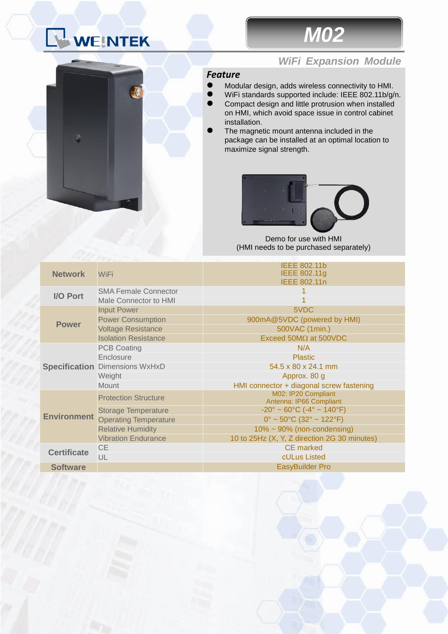# WEINTEK



### *WiFi Expansion Module*

### *Feature*

- Modular design, adds wireless connectivity to HMI.
- WiFi standards supported include: IEEE 802.11b/g/n.
- Compact design and little protrusion when installed on HMI, which avoid space issue in control cabinet installation.
- The magnetic mount antenna included in the package can be installed at an optimal location to maximize signal strength.



Demo for use with HMI (HMI needs to be purchased separately)

| <b>Network</b>     | <b>WiFi</b>                           | <b>IEEE 802.11b</b><br>IEEE 802.11g<br><b>IEEE 802.11n</b>         |
|--------------------|---------------------------------------|--------------------------------------------------------------------|
| I/O Port           | <b>SMA Female Connector</b>           |                                                                    |
|                    | Male Connector to HMI                 |                                                                    |
| <b>Power</b>       | <b>Input Power</b>                    | 5VDC                                                               |
|                    | <b>Power Consumption</b>              | 900mA@5VDC (powered by HMI)                                        |
|                    | <b>Voltage Resistance</b>             | 500VAC (1min.)                                                     |
|                    | <b>Isolation Resistance</b>           | Exceed $50M\Omega$ at $500VDC$                                     |
|                    | <b>PCB Coating</b>                    | N/A                                                                |
|                    | Enclosure                             | <b>Plastic</b>                                                     |
|                    | <b>Specification Dimensions WxHxD</b> | 54.5 x 80 x 24.1 mm                                                |
|                    | Weight                                | Approx. 80 g                                                       |
|                    | <b>Mount</b>                          | HMI connector + diagonal screw fastening                           |
| <b>Environment</b> | <b>Protection Structure</b>           | M02: IP20 Compliant<br>Antenna: IP66 Compliant                     |
|                    | <b>Storage Temperature</b>            | $-20^{\circ} \sim 60^{\circ}$ C ( $-4^{\circ} \sim 140^{\circ}$ F) |
|                    | <b>Operating Temperature</b>          | $0^{\circ}$ ~ 50 $^{\circ}$ C (32 $^{\circ}$ ~ 122 $^{\circ}$ F)   |
|                    | <b>Relative Humidity</b>              | $10\% \sim 90\%$ (non-condensing)                                  |
|                    | <b>Vibration Endurance</b>            | 10 to 25Hz (X, Y, Z direction 2G 30 minutes)                       |
| <b>Certificate</b> | <b>CE</b>                             | <b>CE</b> marked                                                   |
|                    | UL                                    | cULus Listed                                                       |
| <b>Software</b>    |                                       | <b>EasyBuilder Pro</b>                                             |
|                    |                                       |                                                                    |